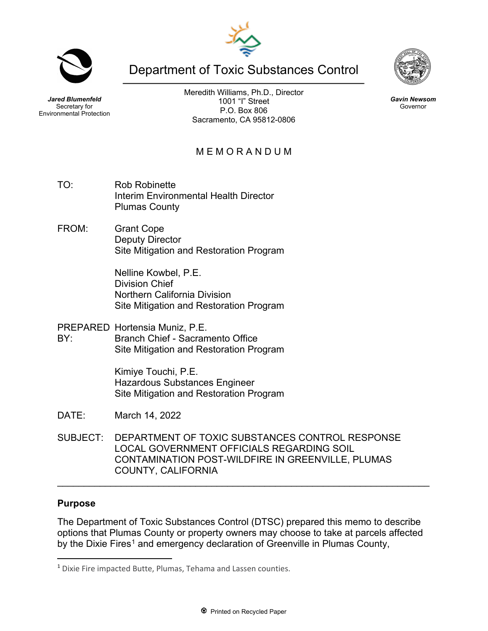Department of Toxic Substances Control

Meredith Williams, Ph.D., Director 1001 "I" Street P.O. Box 806 Sacramento, CA 95812-0806

M E M O R A N D U M

- TO: Rob Robinette Interim Environmental Health Director Plumas County
- FROM: Grant Cope Deputy Director Site Mitigation and Restoration Program

Nelline Kowbel, P.E. Division Chief Northern California Division Site Mitigation and Restoration Program

PREPARED Hortensia Muniz, P.E. BY: Branch Chief - Sacramento Office Site Mitigation and Restoration Program

> Kimiye Touchi, P.E. Hazardous Substances Engineer Site Mitigation and Restoration Program

- DATE: March 14, 2022
- SUBJECT: DEPARTMENT OF TOXIC SUBSTANCES CONTROL RESPONSE LOCAL GOVERNMENT OFFICIALS REGARDING SOIL CONTAMINATION POST-WILDFIRE IN GREENVILLE, PLUMAS COUNTY, CALIFORNIA

### **Purpose**

The Department of Toxic Substances Control (DTSC) prepared this memo to describe options that Plumas County or property owners may choose to take at parcels affected by the Dixie Fires<sup>[1](#page-0-0)</sup> and emergency declaration of Greenville in Plumas County,

\_\_\_\_\_\_\_\_\_\_\_\_\_\_\_\_\_\_\_\_\_\_\_\_\_\_\_\_\_\_\_\_\_\_\_\_\_\_\_\_\_\_\_\_\_\_\_\_\_\_\_\_\_\_\_\_\_\_\_\_\_\_\_\_\_\_\_\_\_\_





*Gavin Newsom* Governor



*Jared Blumenfeld* Secretary for Environmental Protection

<span id="page-0-0"></span><sup>1</sup> Dixie Fire impacted Butte, Plumas, Tehama and Lassen counties.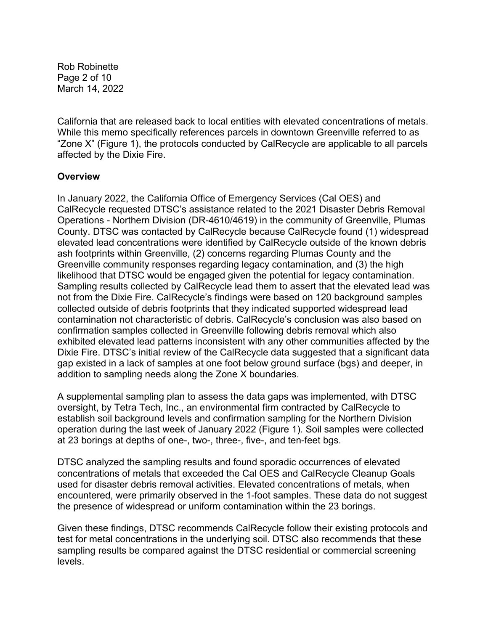Rob Robinette Page 2 of 10 March 14, 2022

California that are released back to local entities with elevated concentrations of metals. While this memo specifically references parcels in downtown Greenville referred to as "Zone X" (Figure 1), the protocols conducted by CalRecycle are applicable to all parcels affected by the Dixie Fire.

### **Overview**

In January 2022, the California Office of Emergency Services (Cal OES) and CalRecycle requested DTSC's assistance related to the 2021 Disaster Debris Removal Operations - Northern Division (DR-4610/4619) in the community of Greenville, Plumas County. DTSC was contacted by CalRecycle because CalRecycle found (1) widespread elevated lead concentrations were identified by CalRecycle outside of the known debris ash footprints within Greenville, (2) concerns regarding Plumas County and the Greenville community responses regarding legacy contamination, and (3) the high likelihood that DTSC would be engaged given the potential for legacy contamination. Sampling results collected by CalRecycle lead them to assert that the elevated lead was not from the Dixie Fire. CalRecycle's findings were based on 120 background samples collected outside of debris footprints that they indicated supported widespread lead contamination not characteristic of debris. CalRecycle's conclusion was also based on confirmation samples collected in Greenville following debris removal which also exhibited elevated lead patterns inconsistent with any other communities affected by the Dixie Fire. DTSC's initial review of the CalRecycle data suggested that a significant data gap existed in a lack of samples at one foot below ground surface (bgs) and deeper, in addition to sampling needs along the Zone X boundaries.

A supplemental sampling plan to assess the data gaps was implemented, with DTSC oversight, by Tetra Tech, Inc., an environmental firm contracted by CalRecycle to establish soil background levels and confirmation sampling for the Northern Division operation during the last week of January 2022 (Figure 1). Soil samples were collected at 23 borings at depths of one-, two-, three-, five-, and ten-feet bgs.

DTSC analyzed the sampling results and found sporadic occurrences of elevated concentrations of metals that exceeded the Cal OES and CalRecycle Cleanup Goals used for disaster debris removal activities. Elevated concentrations of metals, when encountered, were primarily observed in the 1-foot samples. These data do not suggest the presence of widespread or uniform contamination within the 23 borings.

Given these findings, DTSC recommends CalRecycle follow their existing protocols and test for metal concentrations in the underlying soil. DTSC also recommends that these sampling results be compared against the DTSC residential or commercial screening levels.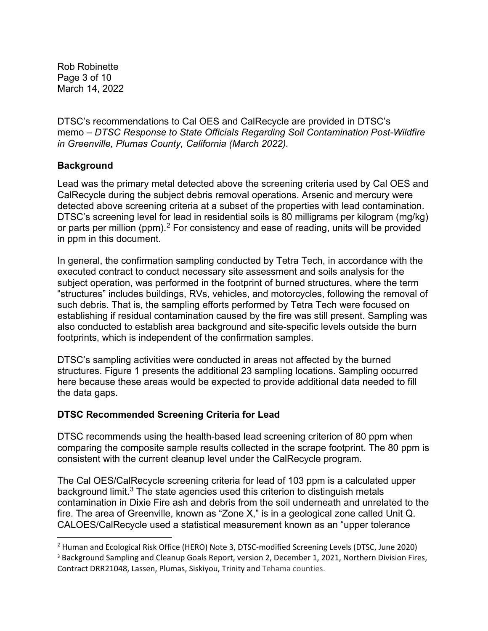Rob Robinette Page 3 of 10 March 14, 2022

DTSC's recommendations to Cal OES and CalRecycle are provided in DTSC's memo – *DTSC Response to State Officials Regarding Soil Contamination Post-Wildfire in Greenville, Plumas County, California (March 2022).*

# **Background**

Lead was the primary metal detected above the screening criteria used by Cal OES and CalRecycle during the subject debris removal operations. Arsenic and mercury were detected above screening criteria at a subset of the properties with lead contamination. DTSC's screening level for lead in residential soils is 80 milligrams per kilogram (mg/kg) or parts per million (ppm).<sup>[2](#page-2-0)</sup> For consistency and ease of reading, units will be provided in ppm in this document.

In general, the confirmation sampling conducted by Tetra Tech, in accordance with the executed contract to conduct necessary site assessment and soils analysis for the subject operation, was performed in the footprint of burned structures, where the term "structures" includes buildings, RVs, vehicles, and motorcycles, following the removal of such debris. That is, the sampling efforts performed by Tetra Tech were focused on establishing if residual contamination caused by the fire was still present. Sampling was also conducted to establish area background and site-specific levels outside the burn footprints, which is independent of the confirmation samples.

DTSC's sampling activities were conducted in areas not affected by the burned structures. Figure 1 presents the additional 23 sampling locations. Sampling occurred here because these areas would be expected to provide additional data needed to fill the data gaps.

### **DTSC Recommended Screening Criteria for Lead**

DTSC recommends using the health-based lead screening criterion of 80 ppm when comparing the composite sample results collected in the scrape footprint. The 80 ppm is consistent with the current cleanup level under the CalRecycle program.

The Cal OES/CalRecycle screening criteria for lead of 103 ppm is a calculated upper background limit.<sup>[3](#page-2-1)</sup> The state agencies used this criterion to distinguish metals contamination in Dixie Fire ash and debris from the soil underneath and unrelated to the fire. The area of Greenville, known as "Zone X," is in a geological zone called Unit Q. CALOES/CalRecycle used a statistical measurement known as an "upper tolerance

<span id="page-2-0"></span><sup>&</sup>lt;sup>2</sup> Human and Ecological Risk Office (HERO) Note 3, DTSC-modified Screening Levels (DTSC, June 2020)

<span id="page-2-1"></span><sup>&</sup>lt;sup>3</sup> Background Sampling and Cleanup Goals Report, version 2, December 1, 2021, Northern Division Fires, Contract DRR21048, Lassen, Plumas, Siskiyou, Trinity and Tehama counties.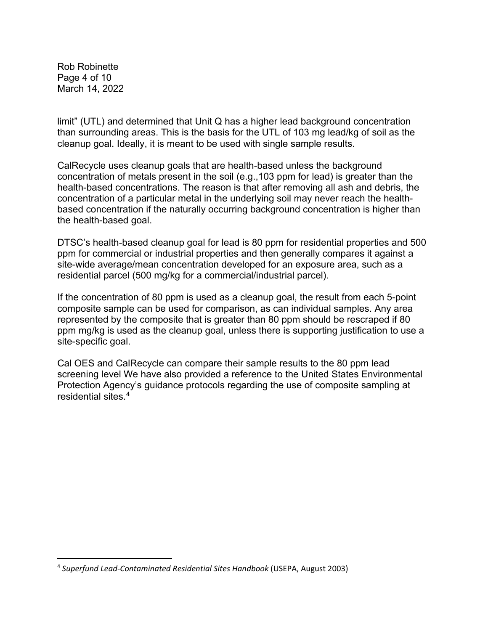Rob Robinette Page 4 of 10 March 14, 2022

limit" (UTL) and determined that Unit Q has a higher lead background concentration than surrounding areas. This is the basis for the UTL of 103 mg lead/kg of soil as the cleanup goal. Ideally, it is meant to be used with single sample results.

CalRecycle uses cleanup goals that are health-based unless the background concentration of metals present in the soil (e.g.,103 ppm for lead) is greater than the health-based concentrations. The reason is that after removing all ash and debris, the concentration of a particular metal in the underlying soil may never reach the healthbased concentration if the naturally occurring background concentration is higher than the health-based goal.

DTSC's health-based cleanup goal for lead is 80 ppm for residential properties and 500 ppm for commercial or industrial properties and then generally compares it against a site-wide average/mean concentration developed for an exposure area, such as a residential parcel (500 mg/kg for a commercial/industrial parcel).

If the concentration of 80 ppm is used as a cleanup goal, the result from each 5-point composite sample can be used for comparison, as can individual samples. Any area represented by the composite that is greater than 80 ppm should be rescraped if 80 ppm mg/kg is used as the cleanup goal, unless there is supporting justification to use a site-specific goal.

Cal OES and CalRecycle can compare their sample results to the 80 ppm lead screening level We have also provided a reference to the United States Environmental Protection Agency's guidance protocols regarding the use of composite sampling at residential sites.<sup>[4](#page-3-0)</sup>

<span id="page-3-0"></span><sup>4</sup> *Superfund Lead-Contaminated Residential Sites Handbook* (USEPA, August 2003)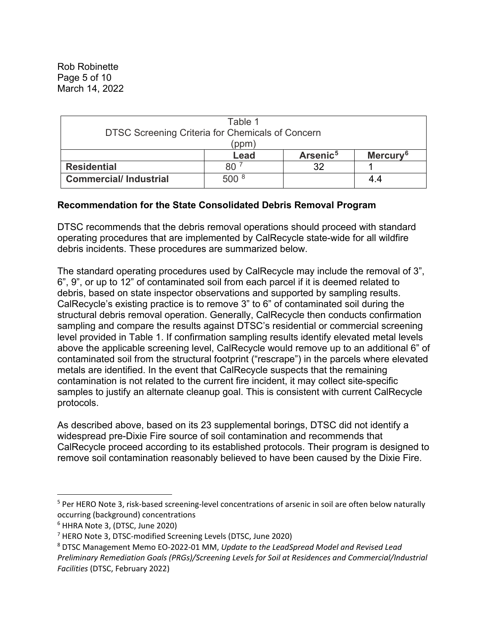Rob Robinette Page 5 of 10 March 14, 2022

| Table 1                                                          |        |                      |                      |  |
|------------------------------------------------------------------|--------|----------------------|----------------------|--|
| <b>DTSC Screening Criteria for Chemicals of Concern</b><br>(ppm) |        |                      |                      |  |
|                                                                  | Lead   | Arsenic <sup>5</sup> | Mercury <sup>6</sup> |  |
| <b>Residential</b>                                               | 80     | つ                    |                      |  |
| <b>Commercial/Industrial</b>                                     | .500 × |                      | 4.4                  |  |

### **Recommendation for the State Consolidated Debris Removal Program**

DTSC recommends that the debris removal operations should proceed with standard operating procedures that are implemented by CalRecycle state-wide for all wildfire debris incidents. These procedures are summarized below.

The standard operating procedures used by CalRecycle may include the removal of 3", 6", 9", or up to 12" of contaminated soil from each parcel if it is deemed related to debris, based on state inspector observations and supported by sampling results. CalRecycle's existing practice is to remove 3" to 6" of contaminated soil during the structural debris removal operation. Generally, CalRecycle then conducts confirmation sampling and compare the results against DTSC's residential or commercial screening level provided in Table 1. If confirmation sampling results identify elevated metal levels above the applicable screening level, CalRecycle would remove up to an additional 6" of contaminated soil from the structural footprint ("rescrape") in the parcels where elevated metals are identified. In the event that CalRecycle suspects that the remaining contamination is not related to the current fire incident, it may collect site-specific samples to justify an alternate cleanup goal. This is consistent with current CalRecycle protocols.

As described above, based on its 23 supplemental borings, DTSC did not identify a widespread pre-Dixie Fire source of soil contamination and recommends that CalRecycle proceed according to its established protocols. Their program is designed to remove soil contamination reasonably believed to have been caused by the Dixie Fire.

<span id="page-4-0"></span><sup>&</sup>lt;sup>5</sup> Per HERO Note 3, risk-based screening-level concentrations of arsenic in soil are often below naturally occurring (background) concentrations

<span id="page-4-2"></span><span id="page-4-1"></span> $^6$  HHRA Note 3, (DTSC, June 2020)<br><sup>7</sup> HERO Note 3, DTSC-modified Screening Levels (DTSC, June 2020)

<span id="page-4-3"></span><sup>8</sup> DTSC Management Memo EO-2022-01 MM, *Update to the LeadSpread Model and Revised Lead Preliminary Remediation Goals (PRGs)/Screening Levels for Soil at Residences and Commercial/Industrial Facilities* (DTSC, February 2022)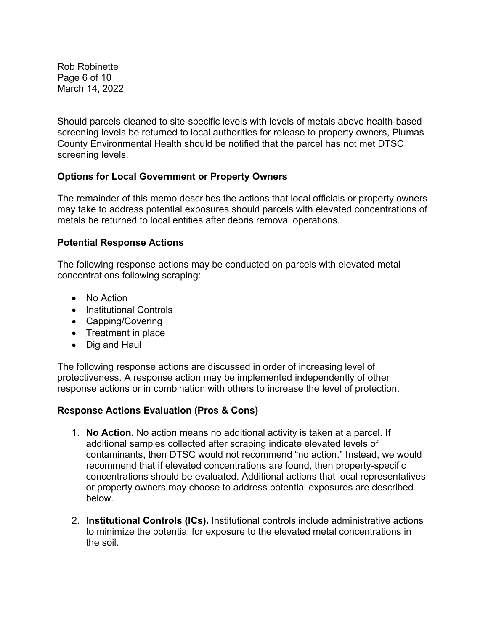Rob Robinette Page 6 of 10 March 14, 2022

Should parcels cleaned to site-specific levels with levels of metals above health-based screening levels be returned to local authorities for release to property owners, Plumas County Environmental Health should be notified that the parcel has not met DTSC screening levels.

# **Options for Local Government or Property Owners**

The remainder of this memo describes the actions that local officials or property owners may take to address potential exposures should parcels with elevated concentrations of metals be returned to local entities after debris removal operations.

#### **Potential Response Actions**

The following response actions may be conducted on parcels with elevated metal concentrations following scraping:

- No Action
- Institutional Controls
- Capping/Covering
- Treatment in place
- Dig and Haul

The following response actions are discussed in order of increasing level of protectiveness. A response action may be implemented independently of other response actions or in combination with others to increase the level of protection.

### **Response Actions Evaluation (Pros & Cons)**

- 1. **No Action.** No action means no additional activity is taken at a parcel. If additional samples collected after scraping indicate elevated levels of contaminants, then DTSC would not recommend "no action." Instead, we would recommend that if elevated concentrations are found, then property-specific concentrations should be evaluated. Additional actions that local representatives or property owners may choose to address potential exposures are described below.
- 2. **Institutional Controls (ICs).** Institutional controls include administrative actions to minimize the potential for exposure to the elevated metal concentrations in the soil.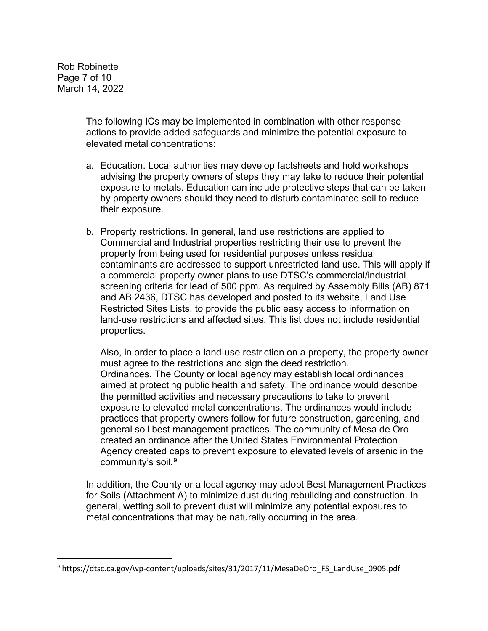Rob Robinette Page 7 of 10 March 14, 2022

> The following ICs may be implemented in combination with other response actions to provide added safeguards and minimize the potential exposure to elevated metal concentrations:

- a. Education. Local authorities may develop factsheets and hold workshops advising the property owners of steps they may take to reduce their potential exposure to metals. Education can include protective steps that can be taken by property owners should they need to disturb contaminated soil to reduce their exposure.
- b. Property restrictions. In general, land use restrictions are applied to Commercial and Industrial properties restricting their use to prevent the property from being used for residential purposes unless residual contaminants are addressed to support unrestricted land use. This will apply if a commercial property owner plans to use DTSC's commercial/industrial screening criteria for lead of 500 ppm. As required by Assembly Bills (AB) 871 and AB 2436, DTSC has developed and posted to its website, Land Use Restricted Sites Lists, to provide the public easy access to information on land-use restrictions and affected sites. This list does not include residential properties.

Also, in order to place a land-use restriction on a property, the property owner must agree to the restrictions and sign the deed restriction. Ordinances. The County or local agency may establish local ordinances aimed at protecting public health and safety. The ordinance would describe the permitted activities and necessary precautions to take to prevent exposure to elevated metal concentrations. The ordinances would include practices that property owners follow for future construction, gardening, and general soil best management practices. The community of Mesa de Oro created an ordinance after the United States Environmental Protection Agency created caps to prevent exposure to elevated levels of arsenic in the community's soil.<sup>[9](#page-6-0)</sup>

In addition, the County or a local agency may adopt Best Management Practices for Soils (Attachment A) to minimize dust during rebuilding and construction. In general, wetting soil to prevent dust will minimize any potential exposures to metal concentrations that may be naturally occurring in the area.

<span id="page-6-0"></span><sup>9</sup> https://dtsc.ca.gov/wp-content/uploads/sites/31/2017/11/MesaDeOro\_FS\_LandUse\_0905.pdf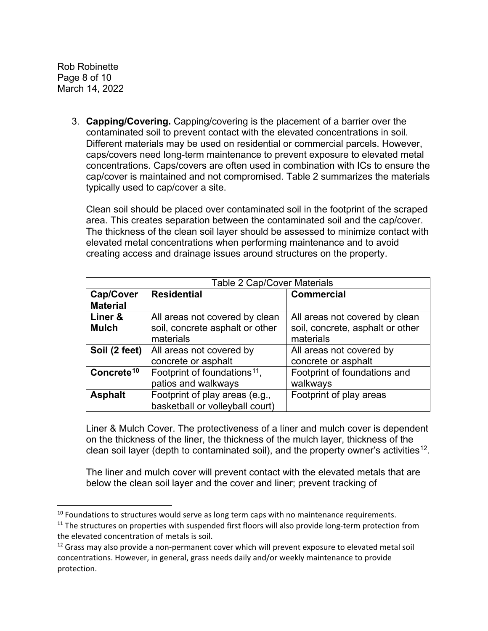Rob Robinette Page 8 of 10 March 14, 2022

> 3. **Capping/Covering.** Capping/covering is the placement of a barrier over the contaminated soil to prevent contact with the elevated concentrations in soil. Different materials may be used on residential or commercial parcels. However, caps/covers need long-term maintenance to prevent exposure to elevated metal concentrations. Caps/covers are often used in combination with ICs to ensure the cap/cover is maintained and not compromised. Table 2 summarizes the materials typically used to cap/cover a site.

Clean soil should be placed over contaminated soil in the footprint of the scraped area. This creates separation between the contaminated soil and the cap/cover. The thickness of the clean soil layer should be assessed to minimize contact with elevated metal concentrations when performing maintenance and to avoid creating access and drainage issues around structures on the property.

| <b>Table 2 Cap/Cover Materials</b> |                                          |                                  |  |
|------------------------------------|------------------------------------------|----------------------------------|--|
| Cap/Cover                          | <b>Residential</b>                       | <b>Commercial</b>                |  |
| <b>Material</b>                    |                                          |                                  |  |
| Liner &                            | All areas not covered by clean           | All areas not covered by clean   |  |
| <b>Mulch</b>                       | soil, concrete asphalt or other          | soil, concrete, asphalt or other |  |
|                                    | materials                                | materials                        |  |
| Soil (2 feet)                      | All areas not covered by                 | All areas not covered by         |  |
|                                    | concrete or asphalt                      | concrete or asphalt              |  |
| Concrete <sup>10</sup>             | Footprint of foundations <sup>11</sup> , | Footprint of foundations and     |  |
|                                    | patios and walkways                      | walkways                         |  |
| <b>Asphalt</b>                     | Footprint of play areas (e.g.,           | Footprint of play areas          |  |
|                                    | basketball or volleyball court)          |                                  |  |

Liner & Mulch Cover. The protectiveness of a liner and mulch cover is dependent on the thickness of the liner, the thickness of the mulch layer, thickness of the clean soil layer (depth to contaminated soil), and the property owner's activities<sup>[12](#page-7-2)</sup>.

The liner and mulch cover will prevent contact with the elevated metals that are below the clean soil layer and the cover and liner; prevent tracking of

<span id="page-7-0"></span> $10$  Foundations to structures would serve as long term caps with no maintenance requirements.

<span id="page-7-1"></span> $11$  The structures on properties with suspended first floors will also provide long-term protection from the elevated concentration of metals is soil.

<span id="page-7-2"></span><sup>&</sup>lt;sup>12</sup> Grass may also provide a non-permanent cover which will prevent exposure to elevated metal soil concentrations. However, in general, grass needs daily and/or weekly maintenance to provide protection.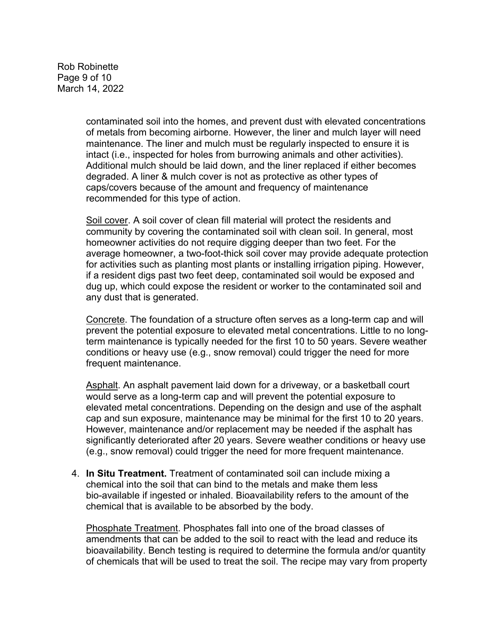Rob Robinette Page 9 of 10 March 14, 2022

> contaminated soil into the homes, and prevent dust with elevated concentrations of metals from becoming airborne. However, the liner and mulch layer will need maintenance. The liner and mulch must be regularly inspected to ensure it is intact (i.e., inspected for holes from burrowing animals and other activities). Additional mulch should be laid down, and the liner replaced if either becomes degraded. A liner & mulch cover is not as protective as other types of caps/covers because of the amount and frequency of maintenance recommended for this type of action.

> Soil cover. A soil cover of clean fill material will protect the residents and community by covering the contaminated soil with clean soil. In general, most homeowner activities do not require digging deeper than two feet. For the average homeowner, a two-foot-thick soil cover may provide adequate protection for activities such as planting most plants or installing irrigation piping. However, if a resident digs past two feet deep, contaminated soil would be exposed and dug up, which could expose the resident or worker to the contaminated soil and any dust that is generated.

> Concrete. The foundation of a structure often serves as a long-term cap and will prevent the potential exposure to elevated metal concentrations. Little to no longterm maintenance is typically needed for the first 10 to 50 years. Severe weather conditions or heavy use (e.g., snow removal) could trigger the need for more frequent maintenance.

> Asphalt. An asphalt pavement laid down for a driveway, or a basketball court would serve as a long-term cap and will prevent the potential exposure to elevated metal concentrations. Depending on the design and use of the asphalt cap and sun exposure, maintenance may be minimal for the first 10 to 20 years. However, maintenance and/or replacement may be needed if the asphalt has significantly deteriorated after 20 years. Severe weather conditions or heavy use (e.g., snow removal) could trigger the need for more frequent maintenance.

4. **In Situ Treatment.** Treatment of contaminated soil can include mixing a chemical into the soil that can bind to the metals and make them less bio-available if ingested or inhaled. Bioavailability refers to the amount of the chemical that is available to be absorbed by the body.

Phosphate Treatment. Phosphates fall into one of the broad classes of amendments that can be added to the soil to react with the lead and reduce its bioavailability. Bench testing is required to determine the formula and/or quantity of chemicals that will be used to treat the soil. The recipe may vary from property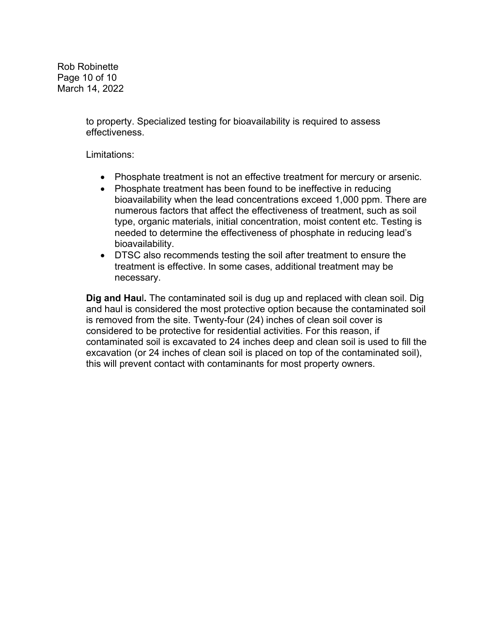Rob Robinette Page 10 of 10 March 14, 2022

> to property. Specialized testing for bioavailability is required to assess effectiveness.

Limitations:

- Phosphate treatment is not an effective treatment for mercury or arsenic.
- Phosphate treatment has been found to be ineffective in reducing bioavailability when the lead concentrations exceed 1,000 ppm. There are numerous factors that affect the effectiveness of treatment, such as soil type, organic materials, initial concentration, moist content etc. Testing is needed to determine the effectiveness of phosphate in reducing lead's bioavailability.
- DTSC also recommends testing the soil after treatment to ensure the treatment is effective. In some cases, additional treatment may be necessary.

**Dig and Hau**l**.** The contaminated soil is dug up and replaced with clean soil. Dig and haul is considered the most protective option because the contaminated soil is removed from the site. Twenty-four (24) inches of clean soil cover is considered to be protective for residential activities. For this reason, if contaminated soil is excavated to 24 inches deep and clean soil is used to fill the excavation (or 24 inches of clean soil is placed on top of the contaminated soil), this will prevent contact with contaminants for most property owners.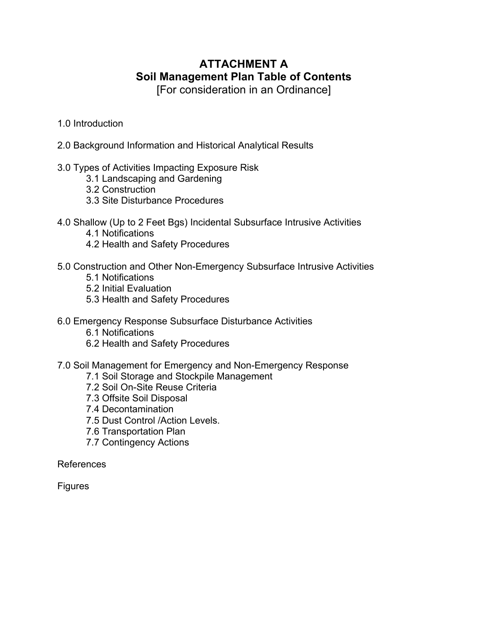# **ATTACHMENT A Soil Management Plan Table of Contents**

[For consideration in an Ordinance]

- 1.0 Introduction
- 2.0 Background Information and Historical Analytical Results
- 3.0 Types of Activities Impacting Exposure Risk
	- 3.1 Landscaping and Gardening
	- 3.2 Construction
	- 3.3 Site Disturbance Procedures
- 4.0 Shallow (Up to 2 Feet Bgs) Incidental Subsurface Intrusive Activities
	- 4.1 Notifications
	- 4.2 Health and Safety Procedures
- 5.0 Construction and Other Non-Emergency Subsurface Intrusive Activities
	- 5.1 Notifications
	- 5.2 Initial Evaluation
	- 5.3 Health and Safety Procedures
- 6.0 Emergency Response Subsurface Disturbance Activities
	- 6.1 Notifications
	- 6.2 Health and Safety Procedures
- 7.0 Soil Management for Emergency and Non-Emergency Response
	- 7.1 Soil Storage and Stockpile Management
	- 7.2 Soil On-Site Reuse Criteria
	- 7.3 Offsite Soil Disposal
	- 7.4 Decontamination
	- 7.5 Dust Control /Action Levels.
	- 7.6 Transportation Plan
	- 7.7 Contingency Actions

References

Figures